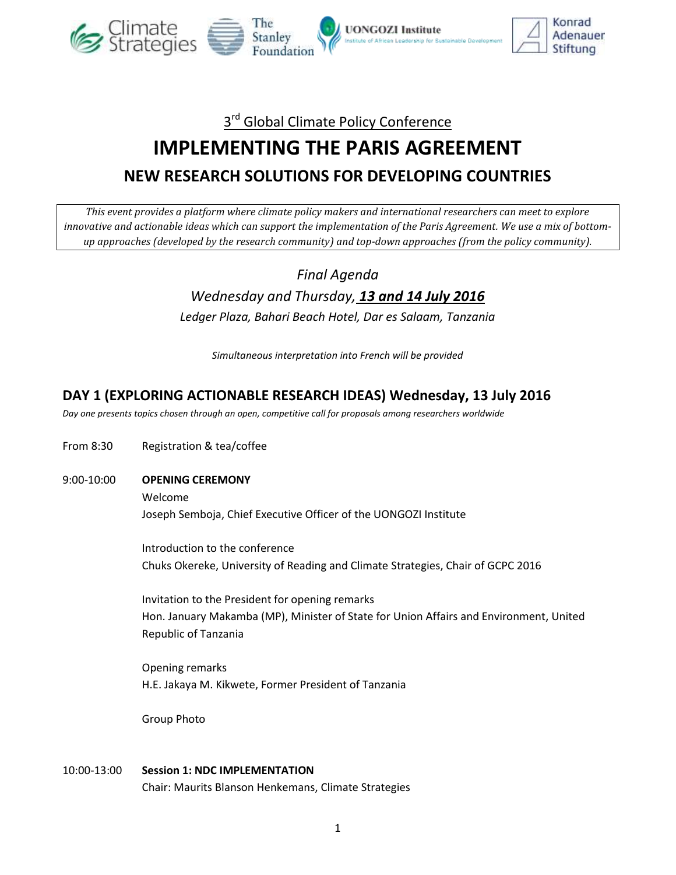

## 3<sup>rd</sup> Global Climate Policy Conference

# **IMPLEMENTING THE PARIS AGREEMENT NEW RESEARCH SOLUTIONS FOR DEVELOPING COUNTRIES**

*This event provides a platform where climate policy makers and international researchers can meet to explore*  innovative and actionable ideas which can support the implementation of the Paris Agreement. We use a mix of bottom*up approaches (developed by the research community) and top-down approaches (from the policy community).*

## *Final Agenda Wednesday and Thursday, 13 and 14 July 2016 Ledger Plaza, Bahari Beach Hotel, Dar es Salaam, Tanzania*

*Simultaneous interpretation into French will be provided*

#### **DAY 1 (EXPLORING ACTIONABLE RESEARCH IDEAS) Wednesday, 13 July 2016**

*Day one presents topics chosen through an open, competitive call for proposals among researchers worldwide*

- From 8:30 Registration & tea/coffee
- 9:00-10:00 **OPENING CEREMONY**

Welcome

Joseph Semboja, Chief Executive Officer of the UONGOZI Institute

Introduction to the conference Chuks Okereke, University of Reading and Climate Strategies, Chair of GCPC 2016

Invitation to the President for opening remarks Hon. January Makamba (MP), Minister of State for Union Affairs and Environment, United Republic of Tanzania

Opening remarks H.E. Jakaya M. Kikwete, Former President of Tanzania

Group Photo

10:00-13:00 **Session 1: NDC IMPLEMENTATION** Chair: Maurits Blanson Henkemans, Climate Strategies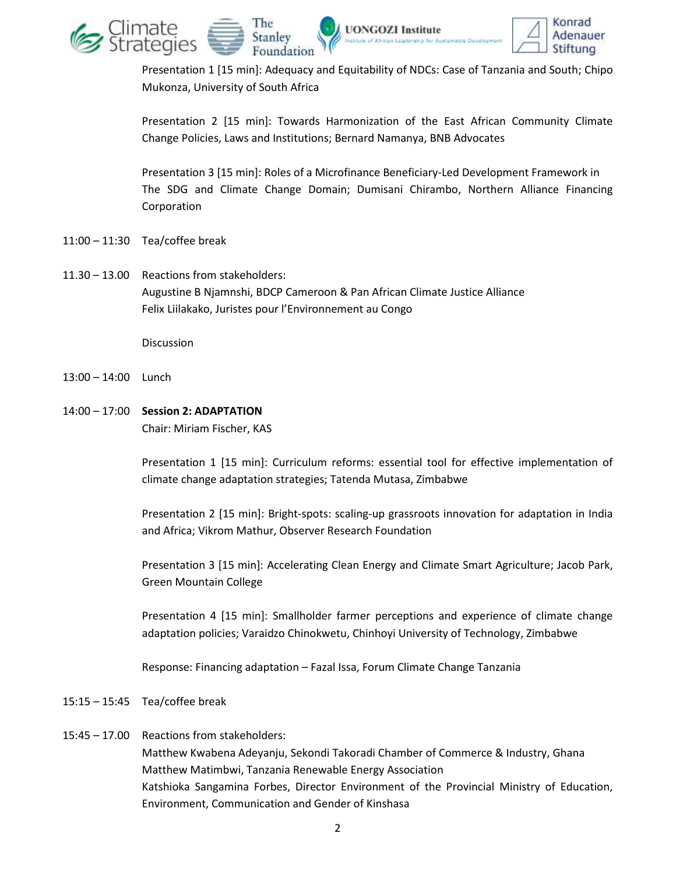

Presentation 1 [15 min]: Adequacy and Equitability of NDCs: Case of Tanzania and South; Chipo Mukonza, University of South Africa

Presentation 2 [15 min]: Towards Harmonization of the East African Community Climate Change Policies, Laws and Institutions; Bernard Namanya, BNB Advocates

Presentation 3 [15 min]: Roles of a Microfinance Beneficiary-Led Development Framework in The SDG and Climate Change Domain; Dumisani Chirambo, Northern Alliance Financing Corporation

- 11:00 11:30 Tea/coffee break
- 11.30 13.00 Reactions from stakeholders: Augustine B Njamnshi, BDCP Cameroon & Pan African Climate Justice Alliance Felix Liilakako, Juristes pour l'Environnement au Congo

**Discussion** 

- 13:00 14:00 Lunch
- 14:00 17:00 **Session 2: ADAPTATION**

Chair: Miriam Fischer, KAS

Presentation 1 [15 min]: Curriculum reforms: essential tool for effective implementation of climate change adaptation strategies; Tatenda Mutasa, Zimbabwe

Presentation 2 [15 min]: Bright-spots: scaling-up grassroots innovation for adaptation in India and Africa; Vikrom Mathur, Observer Research Foundation

Presentation 3 [15 min]: Accelerating Clean Energy and Climate Smart Agriculture; Jacob Park, Green Mountain College

Presentation 4 [15 min]: Smallholder farmer perceptions and experience of climate change adaptation policies; Varaidzo Chinokwetu, Chinhoyi University of Technology, Zimbabwe

Response: Financing adaptation – Fazal Issa, Forum Climate Change Tanzania

- 15:15 15:45 Tea/coffee break
- 15:45 17.00 Reactions from stakeholders:

Matthew Kwabena Adeyanju, Sekondi Takoradi Chamber of Commerce & Industry, Ghana Matthew Matimbwi, Tanzania Renewable Energy Association Katshioka Sangamina Forbes, Director Environment of the Provincial Ministry of Education, Environment, Communication and Gender of Kinshasa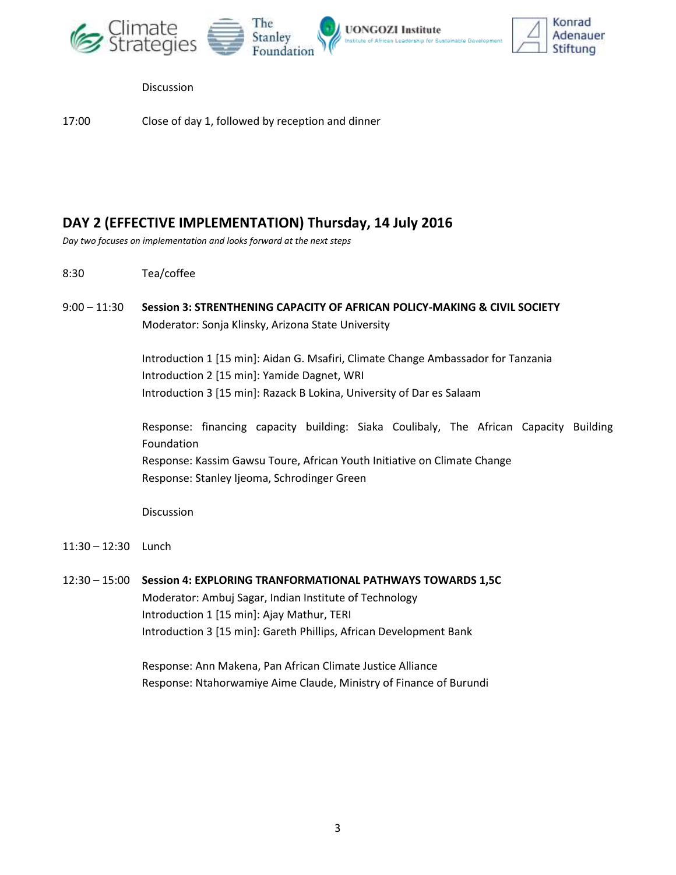



Discussion

17:00 Close of day 1, followed by reception and dinner

#### **DAY 2 (EFFECTIVE IMPLEMENTATION) Thursday, 14 July 2016**

*Day two focuses on implementation and looks forward at the next steps*

- 8:30 Tea/coffee
- 9:00 11:30 **Session 3: STRENTHENING CAPACITY OF AFRICAN POLICY-MAKING & CIVIL SOCIETY** Moderator: Sonja Klinsky, Arizona State University

Introduction 1 [15 min]: Aidan G. Msafiri, Climate Change Ambassador for Tanzania Introduction 2 [15 min]: Yamide Dagnet, WRI Introduction 3 [15 min]: Razack B Lokina, University of Dar es Salaam

Response: financing capacity building: Siaka Coulibaly, The African Capacity Building Foundation Response: Kassim Gawsu Toure, African Youth Initiative on Climate Change Response: Stanley Ijeoma, Schrodinger Green

Discussion

- 11:30 12:30 Lunch
- 12:30 15:00 **Session 4: EXPLORING TRANFORMATIONAL PATHWAYS TOWARDS 1,5C** Moderator: Ambuj Sagar, Indian Institute of Technology Introduction 1 [15 min]: Ajay Mathur, TERI Introduction 3 [15 min]: Gareth Phillips, African Development Bank

Response: Ann Makena, Pan African Climate Justice Alliance Response: Ntahorwamiye Aime Claude, Ministry of Finance of Burundi